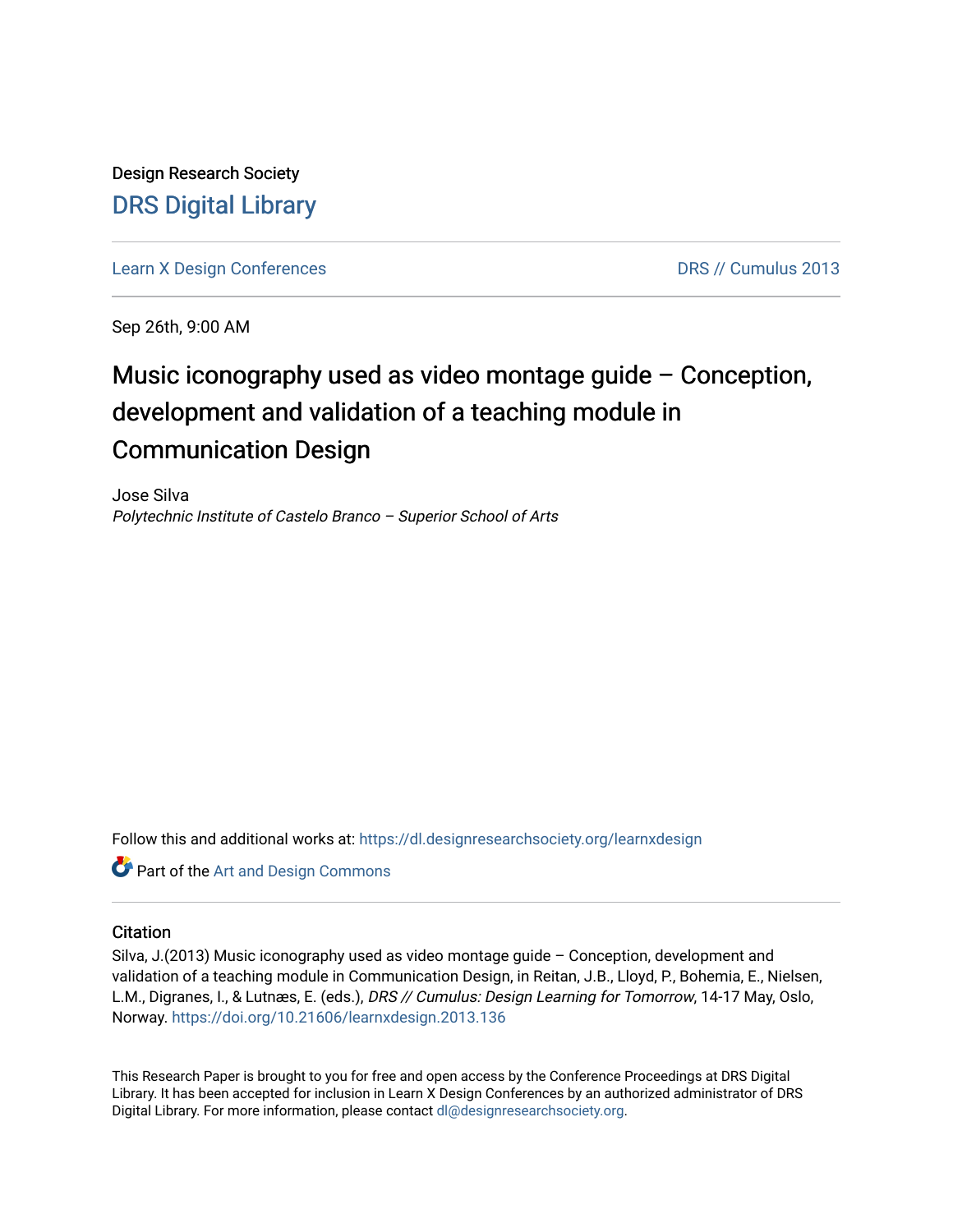Design Research Society [DRS Digital Library](https://dl.designresearchsociety.org/)

[Learn X Design Conferences](https://dl.designresearchsociety.org/learnxdesign) **DRS // Cumulus 2013** 

Sep 26th, 9:00 AM

# Music iconography used as video montage guide – Conception, development and validation of a teaching module in Communication Design

Jose Silva Polytechnic Institute of Castelo Branco – Superior School of Arts

Follow this and additional works at: [https://dl.designresearchsociety.org/learnxdesign](https://dl.designresearchsociety.org/learnxdesign?utm_source=dl.designresearchsociety.org%2Flearnxdesign%2Flearnxdesign2013%2Fresearchpapers%2F134&utm_medium=PDF&utm_campaign=PDFCoverPages)

Part of the [Art and Design Commons](http://network.bepress.com/hgg/discipline/1049?utm_source=dl.designresearchsociety.org%2Flearnxdesign%2Flearnxdesign2013%2Fresearchpapers%2F134&utm_medium=PDF&utm_campaign=PDFCoverPages)

#### **Citation**

Silva, J.(2013) Music iconography used as video montage guide – Conception, development and validation of a teaching module in Communication Design, in Reitan, J.B., Lloyd, P., Bohemia, E., Nielsen, L.M., Digranes, I., & Lutnæs, E. (eds.), DRS // Cumulus: Design Learning for Tomorrow, 14-17 May, Oslo, Norway.<https://doi.org/10.21606/learnxdesign.2013.136>

This Research Paper is brought to you for free and open access by the Conference Proceedings at DRS Digital Library. It has been accepted for inclusion in Learn X Design Conferences by an authorized administrator of DRS Digital Library. For more information, please contact [dl@designresearchsociety.org](mailto:dl@designresearchsociety.org).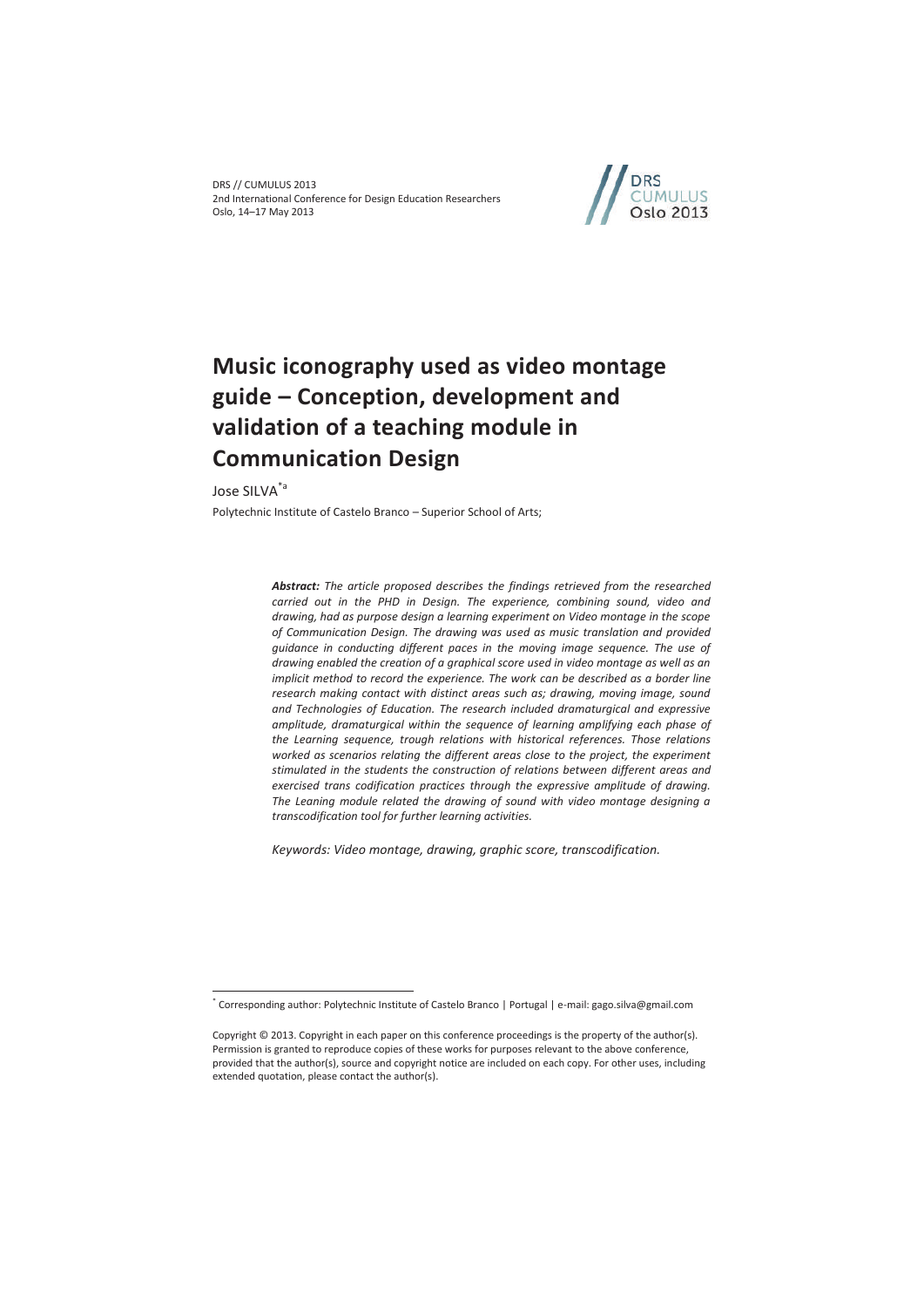

## **Music iconography used as video montage guide – Conception, development and validation of a teaching module in Communication Design**

Jose SILVA\*a

 $\overline{a}$ 

Polytechnic Institute of Castelo Branco – Superior School of Arts;

*Abstract: The article proposed describes the findings retrieved from the researched carried out in the PHD in Design. The experience, combining sound, video and drawing, had as purpose design a learning experiment on Video montage in the scope of Communication Design. The drawing was used as music translation and provided guidance in conducting different paces in the moving image sequence. The use of drawing enabled the creation of a graphical score used in video montage as well as an implicit method to record the experience. The work can be described as a border line research making contact with distinct areas such as; drawing, moving image, sound and Technologies of Education. The research included dramaturgical and expressive amplitude, dramaturgical within the sequence of learning amplifying each phase of the Learning sequence, trough relations with historical references. Those relations worked as scenarios relating the different areas close to the project, the experiment stimulated in the students the construction of relations between different areas and exercised trans codification practices through the expressive amplitude of drawing. The Leaning module related the drawing of sound with video montage designing a transcodification tool for further learning activities.* 

*Keywords: Video montage, drawing, graphic score, transcodification.* 

<sup>\*</sup> Corresponding author: Polytechnic Institute of Castelo Branco | Portugal | e-mail: gago.silva@gmail.com

Copyright © 2013. Copyright in each paper on this conference proceedings is the property of the author(s). Permission is granted to reproduce copies of these works for purposes relevant to the above conference, provided that the author(s), source and copyright notice are included on each copy. For other uses, including extended quotation, please contact the author(s).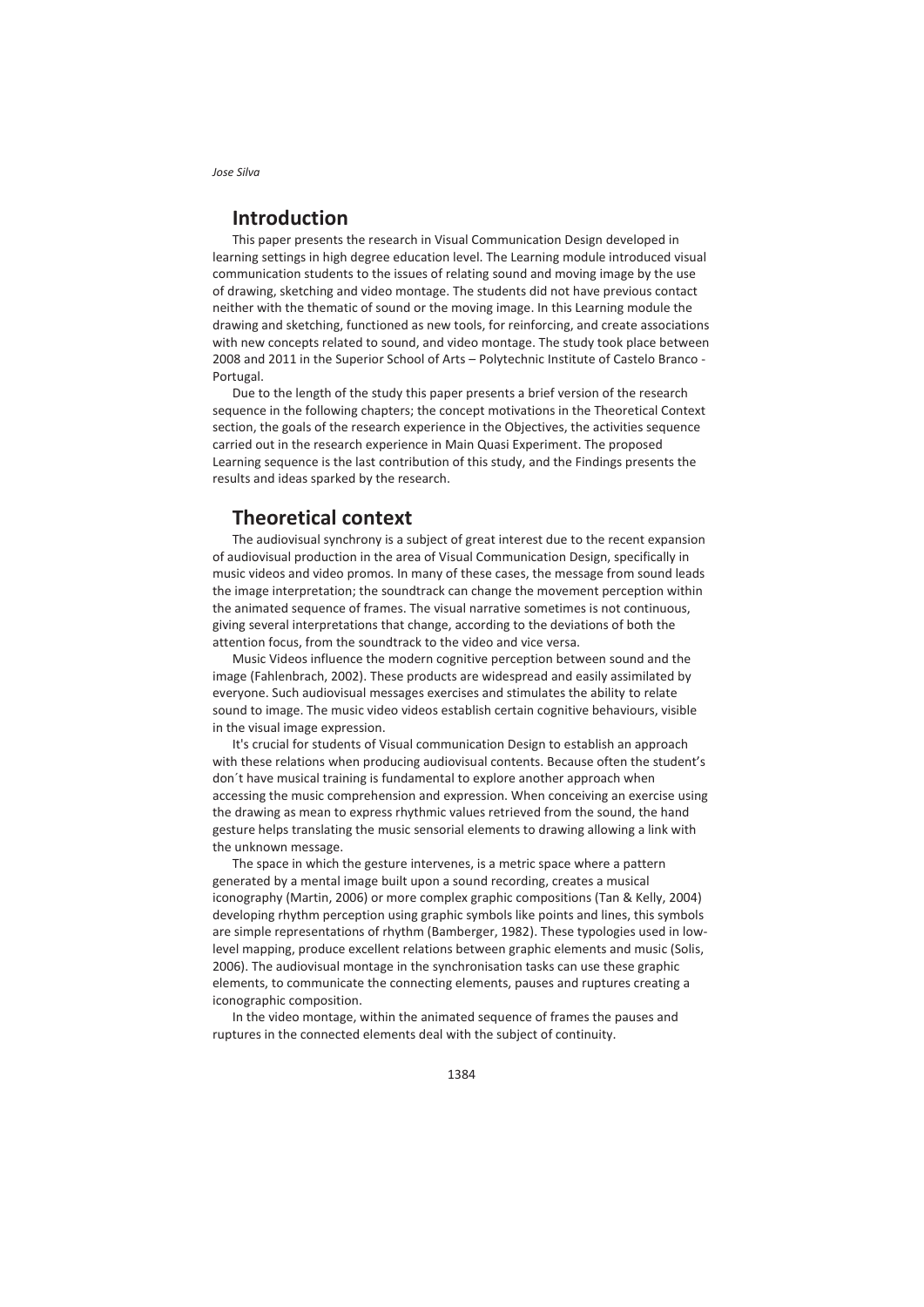*Jose Silva*

#### **Introduction**

This paper presents the research in Visual Communication Design developed in learning settings in high degree education level. The Learning module introduced visual communication students to the issues of relating sound and moving image by the use of drawing, sketching and video montage. The students did not have previous contact neither with the thematic of sound or the moving image. In this Learning module the drawing and sketching, functioned as new tools, for reinforcing, and create associations with new concepts related to sound, and video montage. The study took place between 2008 and 2011 in the Superior School of Arts – Polytechnic Institute of Castelo Branco - Portugal.

Due to the length of the study this paper presents a brief version of the research sequence in the following chapters; the concept motivations in the Theoretical Context section, the goals of the research experience in the Objectives, the activities sequence carried out in the research experience in Main Quasi Experiment. The proposed Learning sequence is the last contribution of this study, and the Findings presents the results and ideas sparked by the research.

#### **Theoretical context**

The audiovisual synchrony is a subject of great interest due to the recent expansion of audiovisual production in the area of Visual Communication Design, specifically in music videos and video promos. In many of these cases, the message from sound leads the image interpretation; the soundtrack can change the movement perception within the animated sequence of frames. The visual narrative sometimes is not continuous, giving several interpretations that change, according to the deviations of both the attention focus, from the soundtrack to the video and vice versa.

Music Videos influence the modern cognitive perception between sound and the image (Fahlenbrach, 2002). These products are widespread and easily assimilated by everyone. Such audiovisual messages exercises and stimulates the ability to relate sound to image. The music video videos establish certain cognitive behaviours, visible in the visual image expression.

It's crucial for students of Visual communication Design to establish an approach with these relations when producing audiovisual contents. Because often the student's don´t have musical training is fundamental to explore another approach when accessing the music comprehension and expression. When conceiving an exercise using the drawing as mean to express rhythmic values retrieved from the sound, the hand gesture helps translating the music sensorial elements to drawing allowing a link with the unknown message.

The space in which the gesture intervenes, is a metric space where a pattern generated by a mental image built upon a sound recording, creates a musical iconography (Martin, 2006) or more complex graphic compositions (Tan & Kelly, 2004) developing rhythm perception using graphic symbols like points and lines, this symbols are simple representations of rhythm (Bamberger, 1982). These typologies used in lowlevel mapping, produce excellent relations between graphic elements and music (Solis, 2006). The audiovisual montage in the synchronisation tasks can use these graphic elements, to communicate the connecting elements, pauses and ruptures creating a iconographic composition.

In the video montage, within the animated sequence of frames the pauses and ruptures in the connected elements deal with the subject of continuity.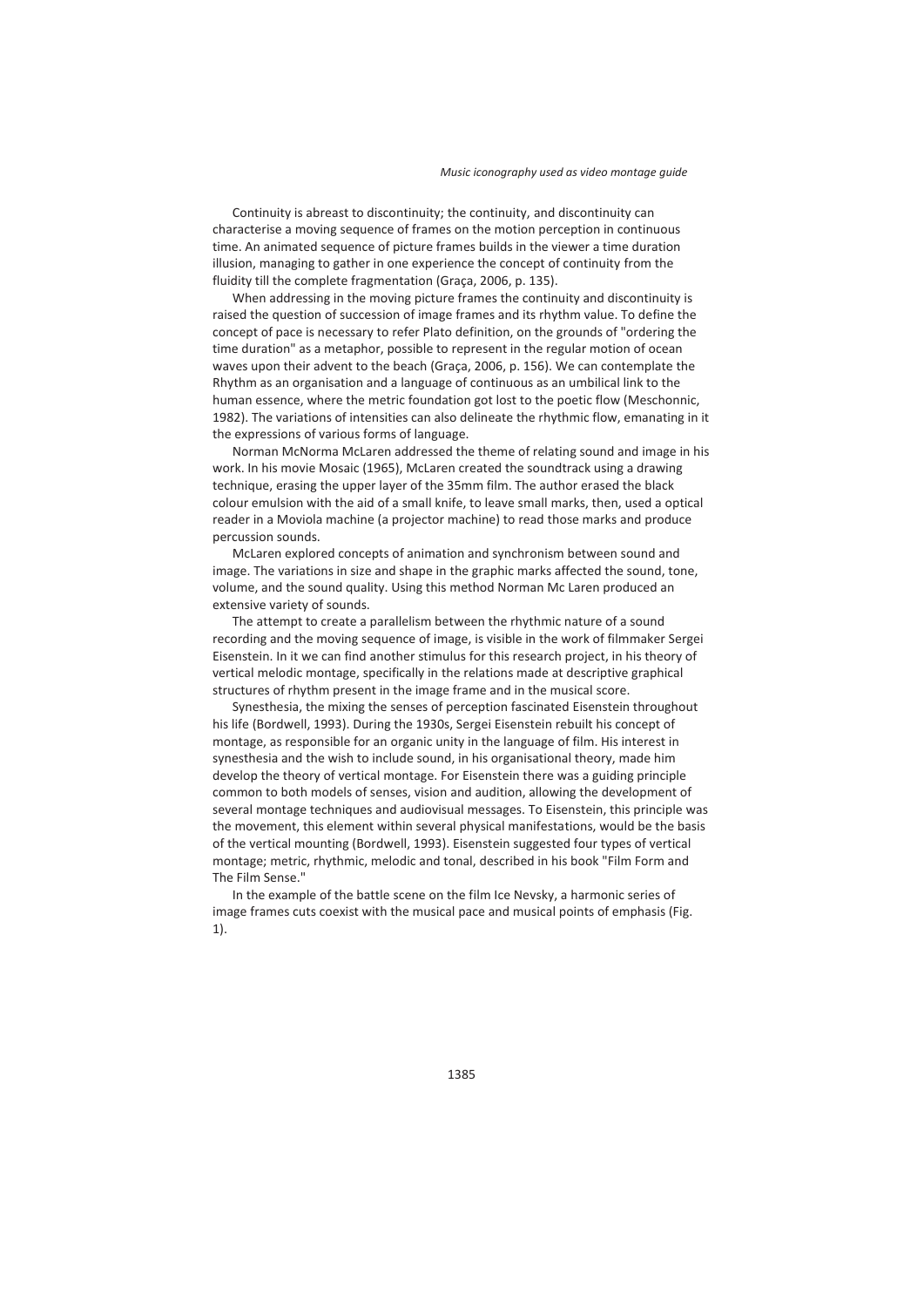Continuity is abreast to discontinuity; the continuity, and discontinuity can characterise a moving sequence of frames on the motion perception in continuous time. An animated sequence of picture frames builds in the viewer a time duration illusion, managing to gather in one experience the concept of continuity from the fluidity till the complete fragmentation (Graça, 2006, p. 135).

When addressing in the moving picture frames the continuity and discontinuity is raised the question of succession of image frames and its rhythm value. To define the concept of pace is necessary to refer Plato definition, on the grounds of "ordering the time duration" as a metaphor, possible to represent in the regular motion of ocean waves upon their advent to the beach (Graça, 2006, p. 156). We can contemplate the Rhythm as an organisation and a language of continuous as an umbilical link to the human essence, where the metric foundation got lost to the poetic flow (Meschonnic, 1982). The variations of intensities can also delineate the rhythmic flow, emanating in it the expressions of various forms of language.

Norman McNorma McLaren addressed the theme of relating sound and image in his work. In his movie Mosaic (1965), McLaren created the soundtrack using a drawing technique, erasing the upper layer of the 35mm film. The author erased the black colour emulsion with the aid of a small knife, to leave small marks, then, used a optical reader in a Moviola machine (a projector machine) to read those marks and produce percussion sounds.

McLaren explored concepts of animation and synchronism between sound and image. The variations in size and shape in the graphic marks affected the sound, tone, volume, and the sound quality. Using this method Norman Mc Laren produced an extensive variety of sounds.

The attempt to create a parallelism between the rhythmic nature of a sound recording and the moving sequence of image, is visible in the work of filmmaker Sergei Eisenstein. In it we can find another stimulus for this research project, in his theory of vertical melodic montage, specifically in the relations made at descriptive graphical structures of rhythm present in the image frame and in the musical score.

Synesthesia, the mixing the senses of perception fascinated Eisenstein throughout his life (Bordwell, 1993). During the 1930s, Sergei Eisenstein rebuilt his concept of montage, as responsible for an organic unity in the language of film. His interest in synesthesia and the wish to include sound, in his organisational theory, made him develop the theory of vertical montage. For Eisenstein there was a guiding principle common to both models of senses, vision and audition, allowing the development of several montage techniques and audiovisual messages. To Eisenstein, this principle was the movement, this element within several physical manifestations, would be the basis of the vertical mounting (Bordwell, 1993). Eisenstein suggested four types of vertical montage; metric, rhythmic, melodic and tonal, described in his book "Film Form and The Film Sense."

In the example of the battle scene on the film Ice Nevsky, a harmonic series of image frames cuts coexist with the musical pace and musical points of emphasis (Fig. 1).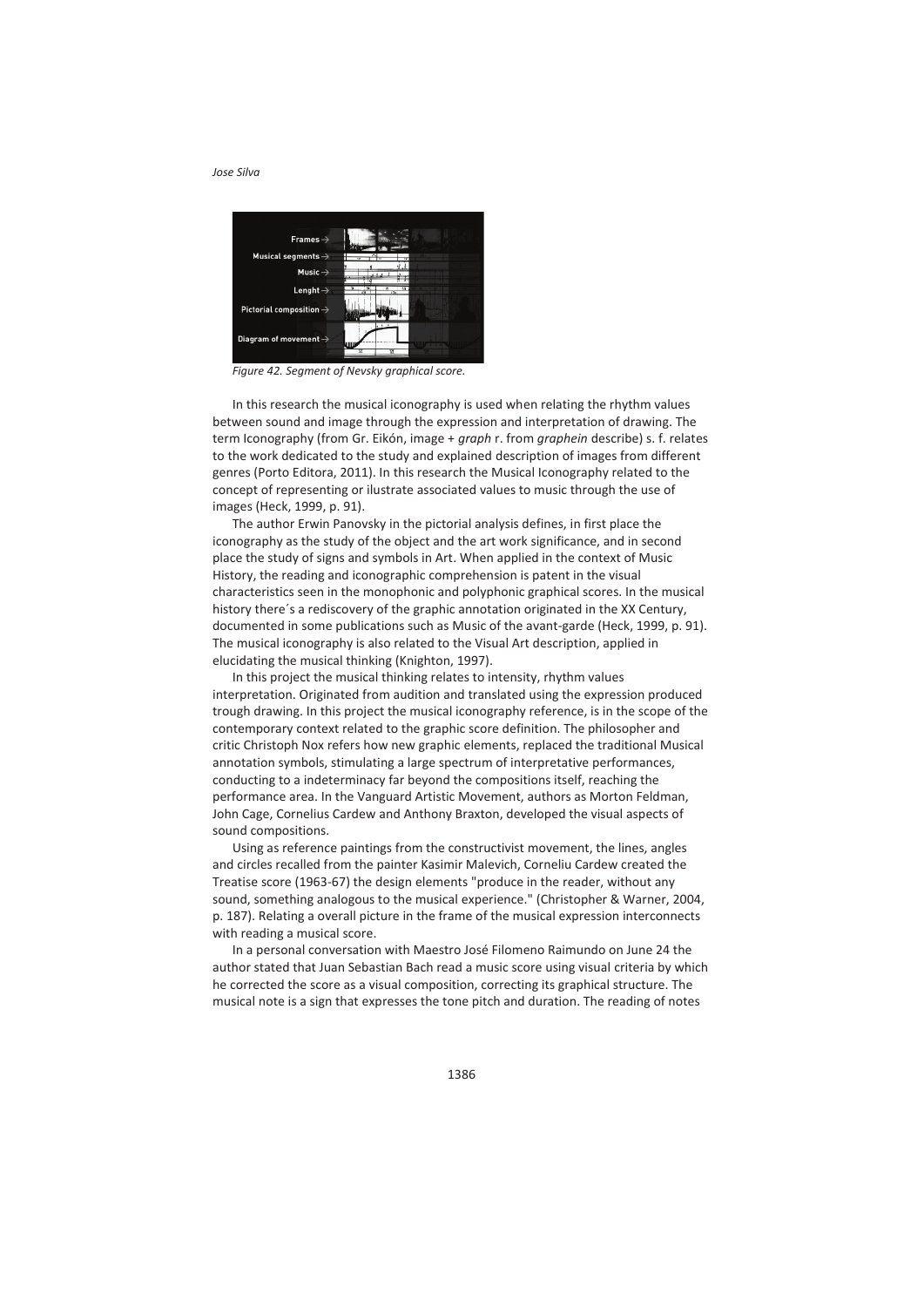

*Figure 42. Segment of Nevsky graphical score.* 

In this research the musical iconography is used when relating the rhythm values between sound and image through the expression and interpretation of drawing. The term Iconography (from Gr. Eikón, image + *graph* r. from *graphein* describe) s. f. relates to the work dedicated to the study and explained description of images from different genres (Porto Editora, 2011). In this research the Musical Iconography related to the concept of representing or ilustrate associated values to music through the use of images (Heck, 1999, p. 91).

The author Erwin Panovsky in the pictorial analysis defines, in first place the iconography as the study of the object and the art work significance, and in second place the study of signs and symbols in Art. When applied in the context of Music History, the reading and iconographic comprehension is patent in the visual characteristics seen in the monophonic and polyphonic graphical scores. In the musical history there´s a rediscovery of the graphic annotation originated in the XX Century, documented in some publications such as Music of the avant-garde (Heck, 1999, p. 91). The musical iconography is also related to the Visual Art description, applied in elucidating the musical thinking (Knighton, 1997).

In this project the musical thinking relates to intensity, rhythm values interpretation. Originated from audition and translated using the expression produced trough drawing. In this project the musical iconography reference, is in the scope of the contemporary context related to the graphic score definition. The philosopher and critic Christoph Nox refers how new graphic elements, replaced the traditional Musical annotation symbols, stimulating a large spectrum of interpretative performances, conducting to a indeterminacy far beyond the compositions itself, reaching the performance area. In the Vanguard Artistic Movement, authors as Morton Feldman, John Cage, Cornelius Cardew and Anthony Braxton, developed the visual aspects of sound compositions.

Using as reference paintings from the constructivist movement, the lines, angles and circles recalled from the painter Kasimir Malevich, Corneliu Cardew created the Treatise score (1963-67) the design elements "produce in the reader, without any sound, something analogous to the musical experience." (Christopher & Warner, 2004, p. 187). Relating a overall picture in the frame of the musical expression interconnects with reading a musical score.

In a personal conversation with Maestro José Filomeno Raimundo on June 24 the author stated that Juan Sebastian Bach read a music score using visual criteria by which he corrected the score as a visual composition, correcting its graphical structure. The musical note is a sign that expresses the tone pitch and duration. The reading of notes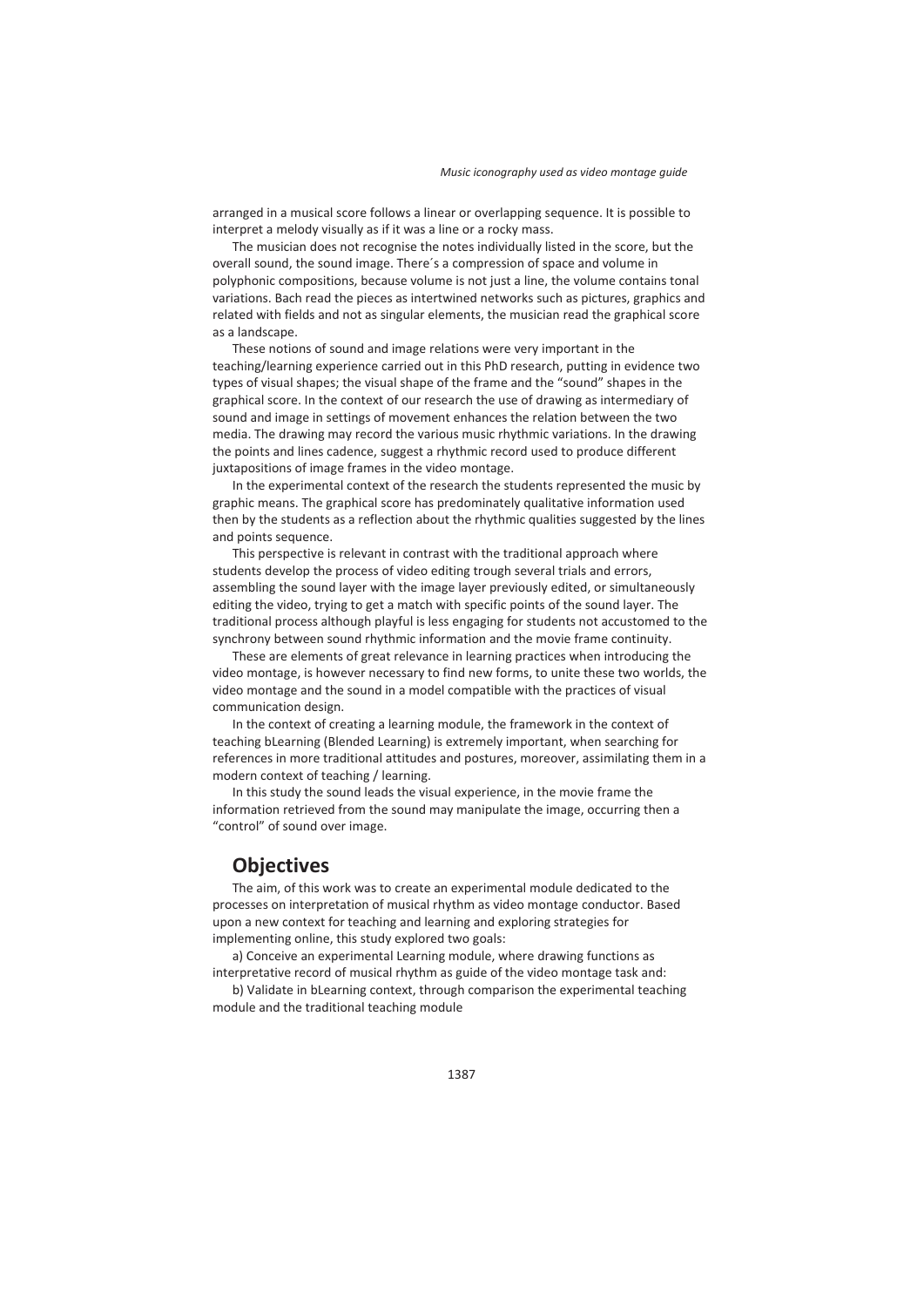arranged in a musical score follows a linear or overlapping sequence. It is possible to interpret a melody visually as if it was a line or a rocky mass.

The musician does not recognise the notes individually listed in the score, but the overall sound, the sound image. There´s a compression of space and volume in polyphonic compositions, because volume is not just a line, the volume contains tonal variations. Bach read the pieces as intertwined networks such as pictures, graphics and related with fields and not as singular elements, the musician read the graphical score as a landscape.

These notions of sound and image relations were very important in the teaching/learning experience carried out in this PhD research, putting in evidence two types of visual shapes; the visual shape of the frame and the "sound" shapes in the graphical score. In the context of our research the use of drawing as intermediary of sound and image in settings of movement enhances the relation between the two media. The drawing may record the various music rhythmic variations. In the drawing the points and lines cadence, suggest a rhythmic record used to produce different juxtapositions of image frames in the video montage.

In the experimental context of the research the students represented the music by graphic means. The graphical score has predominately qualitative information used then by the students as a reflection about the rhythmic qualities suggested by the lines and points sequence.

This perspective is relevant in contrast with the traditional approach where students develop the process of video editing trough several trials and errors, assembling the sound layer with the image layer previously edited, or simultaneously editing the video, trying to get a match with specific points of the sound layer. The traditional process although playful is less engaging for students not accustomed to the synchrony between sound rhythmic information and the movie frame continuity.

These are elements of great relevance in learning practices when introducing the video montage, is however necessary to find new forms, to unite these two worlds, the video montage and the sound in a model compatible with the practices of visual communication design.

In the context of creating a learning module, the framework in the context of teaching bLearning (Blended Learning) is extremely important, when searching for references in more traditional attitudes and postures, moreover, assimilating them in a modern context of teaching / learning.

In this study the sound leads the visual experience, in the movie frame the information retrieved from the sound may manipulate the image, occurring then a "control" of sound over image.

#### **Objectives**

The aim, of this work was to create an experimental module dedicated to the processes on interpretation of musical rhythm as video montage conductor. Based upon a new context for teaching and learning and exploring strategies for implementing online, this study explored two goals:

a) Conceive an experimental Learning module, where drawing functions as interpretative record of musical rhythm as guide of the video montage task and:

b) Validate in bLearning context, through comparison the experimental teaching module and the traditional teaching module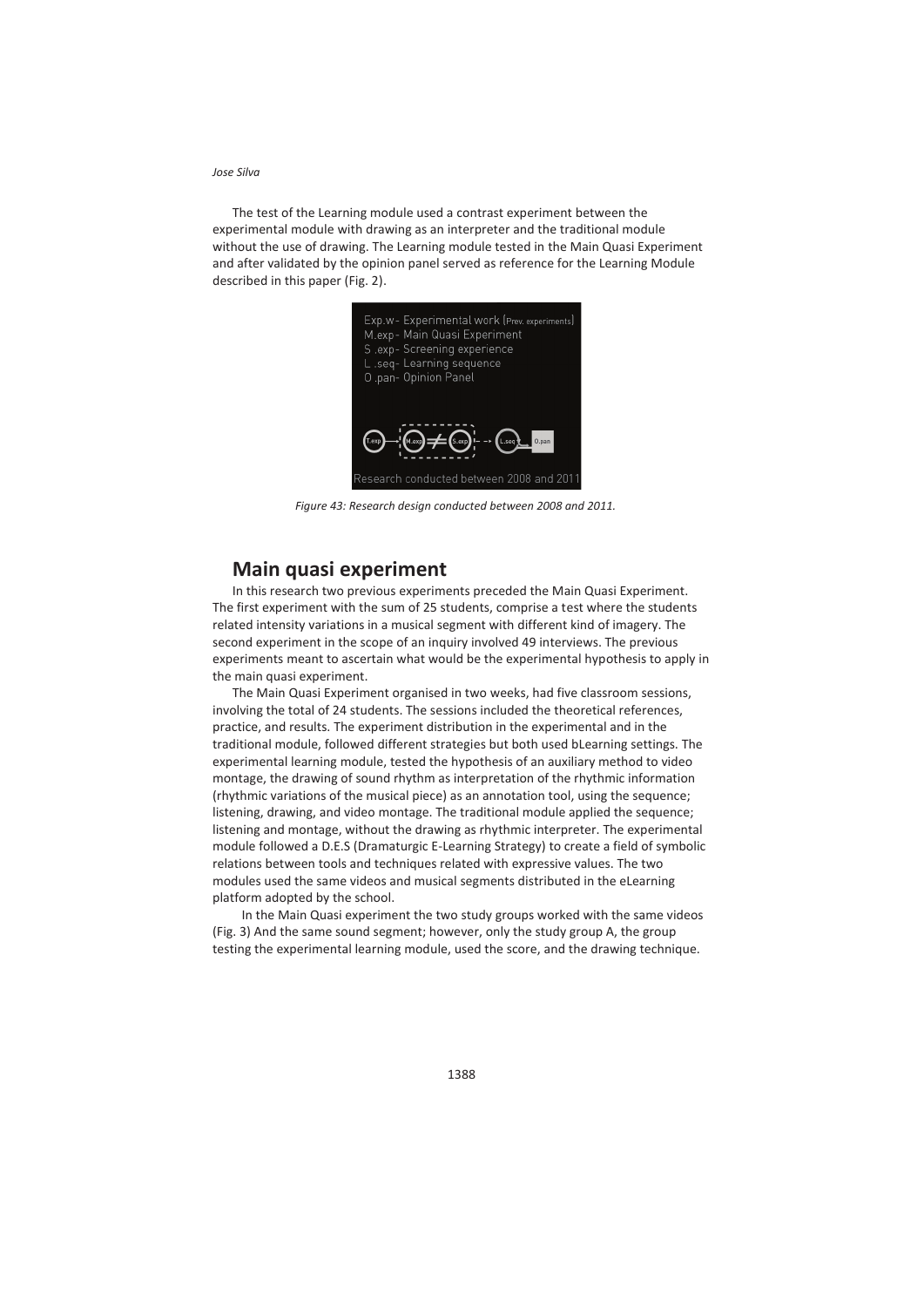*Jose Silva*

The test of the Learning module used a contrast experiment between the experimental module with drawing as an interpreter and the traditional module without the use of drawing. The Learning module tested in the Main Quasi Experiment and after validated by the opinion panel served as reference for the Learning Module described in this paper (Fig. 2).



*Figure 43: Research design conducted between 2008 and 2011.* 

#### **Main quasi experiment**

In this research two previous experiments preceded the Main Quasi Experiment. The first experiment with the sum of 25 students, comprise a test where the students related intensity variations in a musical segment with different kind of imagery. The second experiment in the scope of an inquiry involved 49 interviews. The previous experiments meant to ascertain what would be the experimental hypothesis to apply in the main quasi experiment.

The Main Quasi Experiment organised in two weeks, had five classroom sessions, involving the total of 24 students. The sessions included the theoretical references, practice, and results. The experiment distribution in the experimental and in the traditional module, followed different strategies but both used bLearning settings. The experimental learning module, tested the hypothesis of an auxiliary method to video montage, the drawing of sound rhythm as interpretation of the rhythmic information (rhythmic variations of the musical piece) as an annotation tool, using the sequence; listening, drawing, and video montage. The traditional module applied the sequence; listening and montage, without the drawing as rhythmic interpreter. The experimental module followed a D.E.S (Dramaturgic E-Learning Strategy) to create a field of symbolic relations between tools and techniques related with expressive values. The two modules used the same videos and musical segments distributed in the eLearning platform adopted by the school.

 In the Main Quasi experiment the two study groups worked with the same videos (Fig. 3) And the same sound segment; however, only the study group A, the group testing the experimental learning module, used the score, and the drawing technique.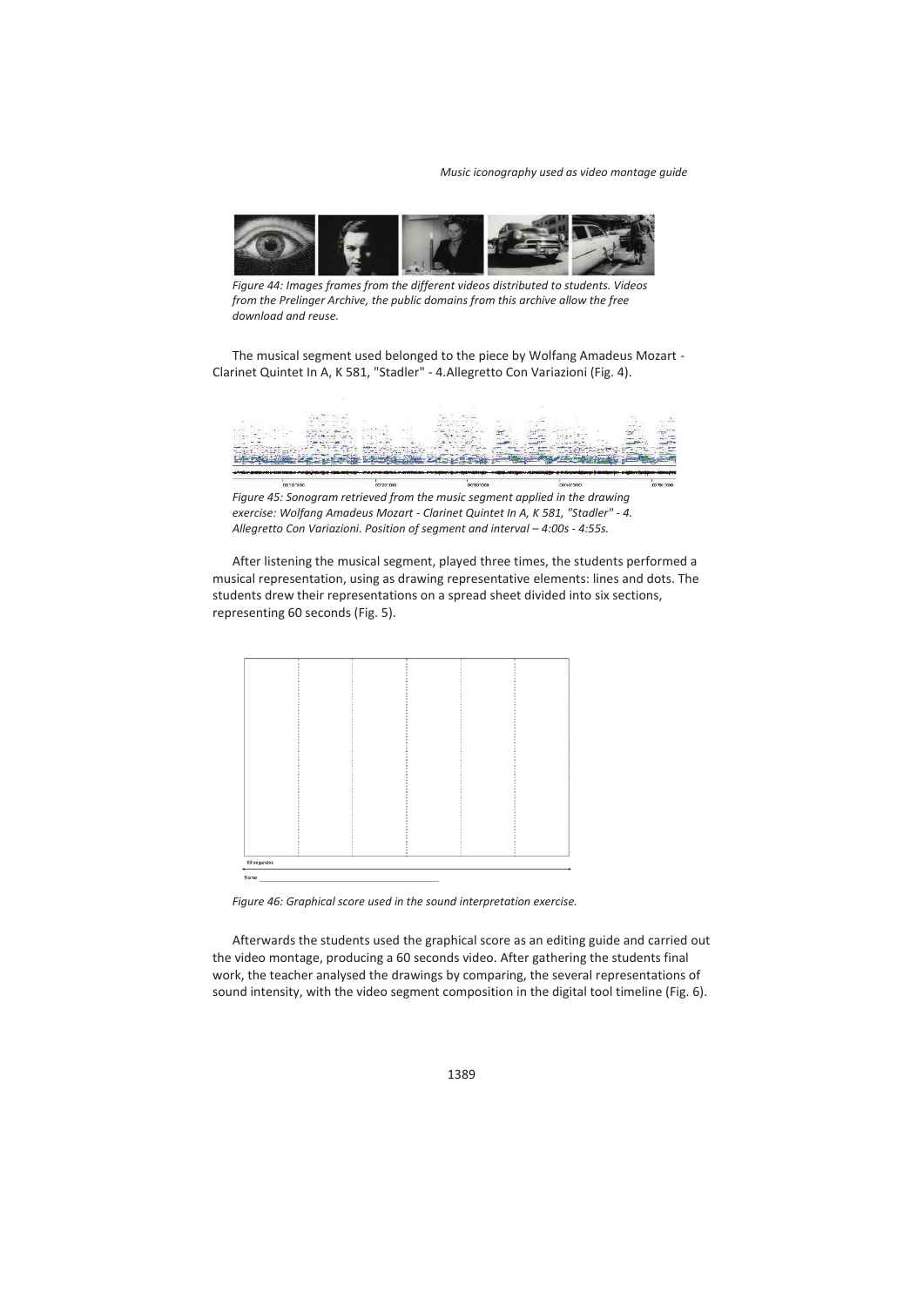*Music iconography used as video montage guide*



*Figure 44: Images frames from the different videos distributed to students. Videos from the Prelinger Archive, the public domains from this archive allow the free download and reuse.* 

The musical segment used belonged to the piece by Wolfang Amadeus Mozart - Clarinet Quintet In A, K 581, "Stadler" - 4.Allegretto Con Variazioni (Fig. 4).



*exercise: Wolfang Amadeus Mozart - Clarinet Quintet In A, K 581, "Stadler" - 4. Allegretto Con Variazioni. Position of segment and interval – 4:00s - 4:55s.* 

After listening the musical segment, played three times, the students performed a musical representation, using as drawing representative elements: lines and dots. The students drew their representations on a spread sheet divided into six sections, representing 60 seconds (Fig. 5).



*Figure 46: Graphical score used in the sound interpretation exercise.* 

Afterwards the students used the graphical score as an editing guide and carried out the video montage, producing a 60 seconds video. After gathering the students final work, the teacher analysed the drawings by comparing, the several representations of sound intensity, with the video segment composition in the digital tool timeline (Fig. 6).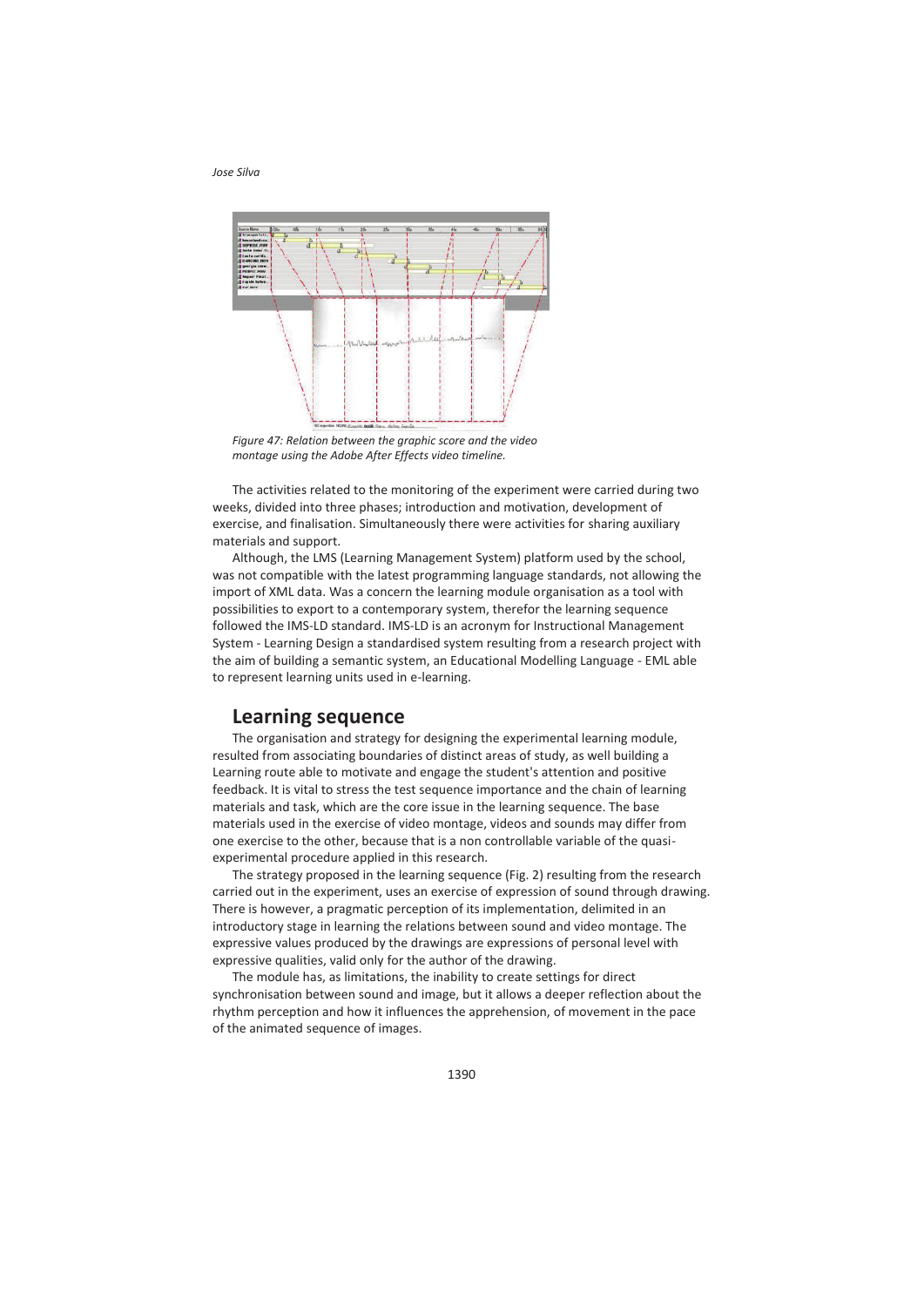

*Figure 47: Relation between the graphic score and the video montage using the Adobe After Effects video timeline.* 

The activities related to the monitoring of the experiment were carried during two weeks, divided into three phases; introduction and motivation, development of exercise, and finalisation. Simultaneously there were activities for sharing auxiliary materials and support.

Although, the LMS (Learning Management System) platform used by the school, was not compatible with the latest programming language standards, not allowing the import of XML data. Was a concern the learning module organisation as a tool with possibilities to export to a contemporary system, therefor the learning sequence followed the IMS-LD standard. IMS-LD is an acronym for Instructional Management System - Learning Design a standardised system resulting from a research project with the aim of building a semantic system, an Educational Modelling Language - EML able to represent learning units used in e-learning.

#### **Learning sequence**

The organisation and strategy for designing the experimental learning module, resulted from associating boundaries of distinct areas of study, as well building a Learning route able to motivate and engage the student's attention and positive feedback. It is vital to stress the test sequence importance and the chain of learning materials and task, which are the core issue in the learning sequence. The base materials used in the exercise of video montage, videos and sounds may differ from one exercise to the other, because that is a non controllable variable of the quasiexperimental procedure applied in this research.

The strategy proposed in the learning sequence (Fig. 2) resulting from the research carried out in the experiment, uses an exercise of expression of sound through drawing. There is however, a pragmatic perception of its implementation, delimited in an introductory stage in learning the relations between sound and video montage. The expressive values produced by the drawings are expressions of personal level with expressive qualities, valid only for the author of the drawing.

The module has, as limitations, the inability to create settings for direct synchronisation between sound and image, but it allows a deeper reflection about the rhythm perception and how it influences the apprehension, of movement in the pace of the animated sequence of images.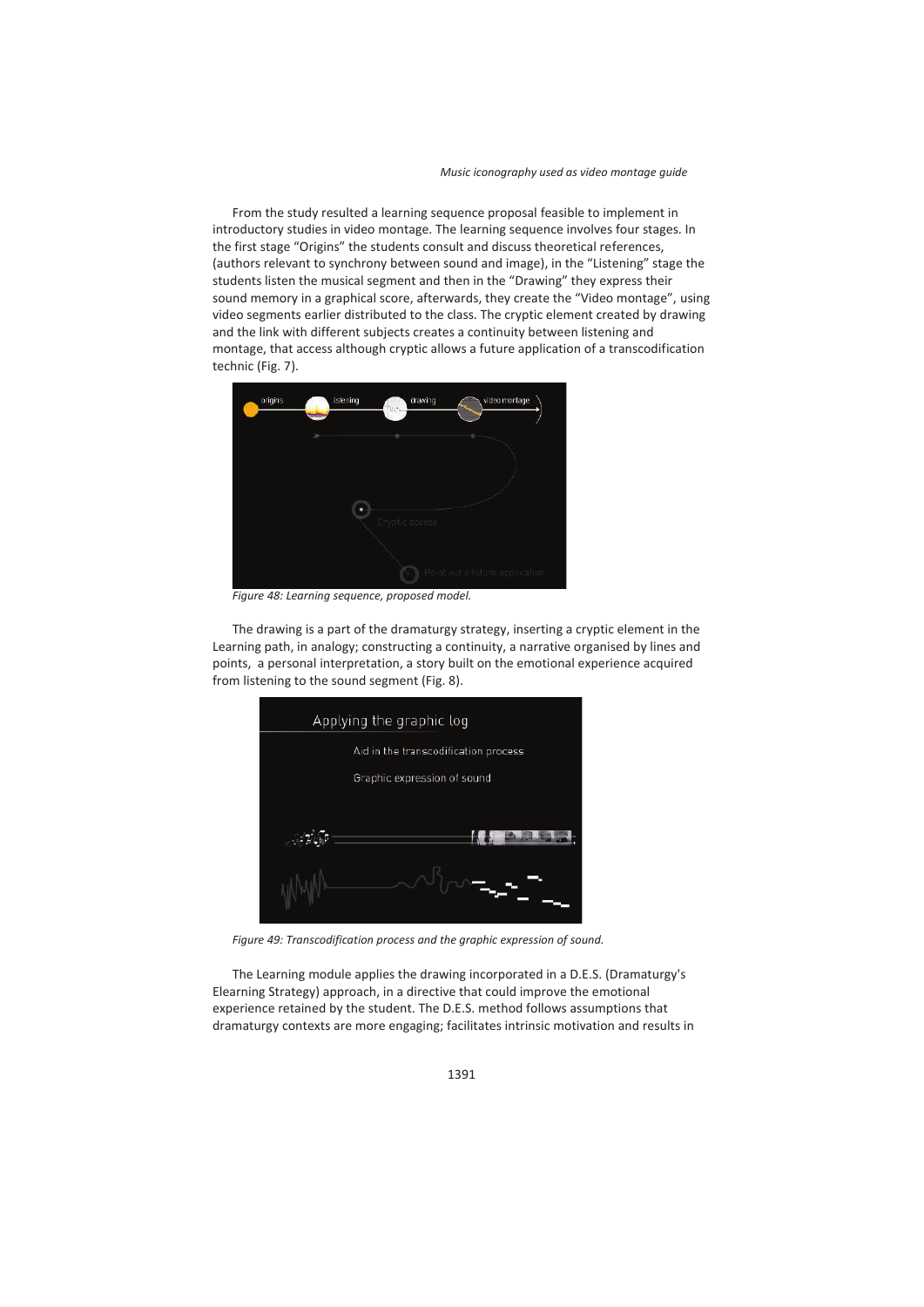From the study resulted a learning sequence proposal feasible to implement in introductory studies in video montage. The learning sequence involves four stages. In the first stage "Origins" the students consult and discuss theoretical references, (authors relevant to synchrony between sound and image), in the "Listening" stage the students listen the musical segment and then in the "Drawing" they express their sound memory in a graphical score, afterwards, they create the "Video montage", using video segments earlier distributed to the class. The cryptic element created by drawing and the link with different subjects creates a continuity between listening and montage, that access although cryptic allows a future application of a transcodification technic (Fig. 7).



*Figure 48: Learning sequence, proposed model.* 

The drawing is a part of the dramaturgy strategy, inserting a cryptic element in the Learning path, in analogy; constructing a continuity, a narrative organised by lines and points, a personal interpretation, a story built on the emotional experience acquired from listening to the sound segment (Fig. 8).



*Figure 49: Transcodification process and the graphic expression of sound.* 

The Learning module applies the drawing incorporated in a D.E.S. (Dramaturgy's Elearning Strategy) approach, in a directive that could improve the emotional experience retained by the student. The D.E.S. method follows assumptions that dramaturgy contexts are more engaging; facilitates intrinsic motivation and results in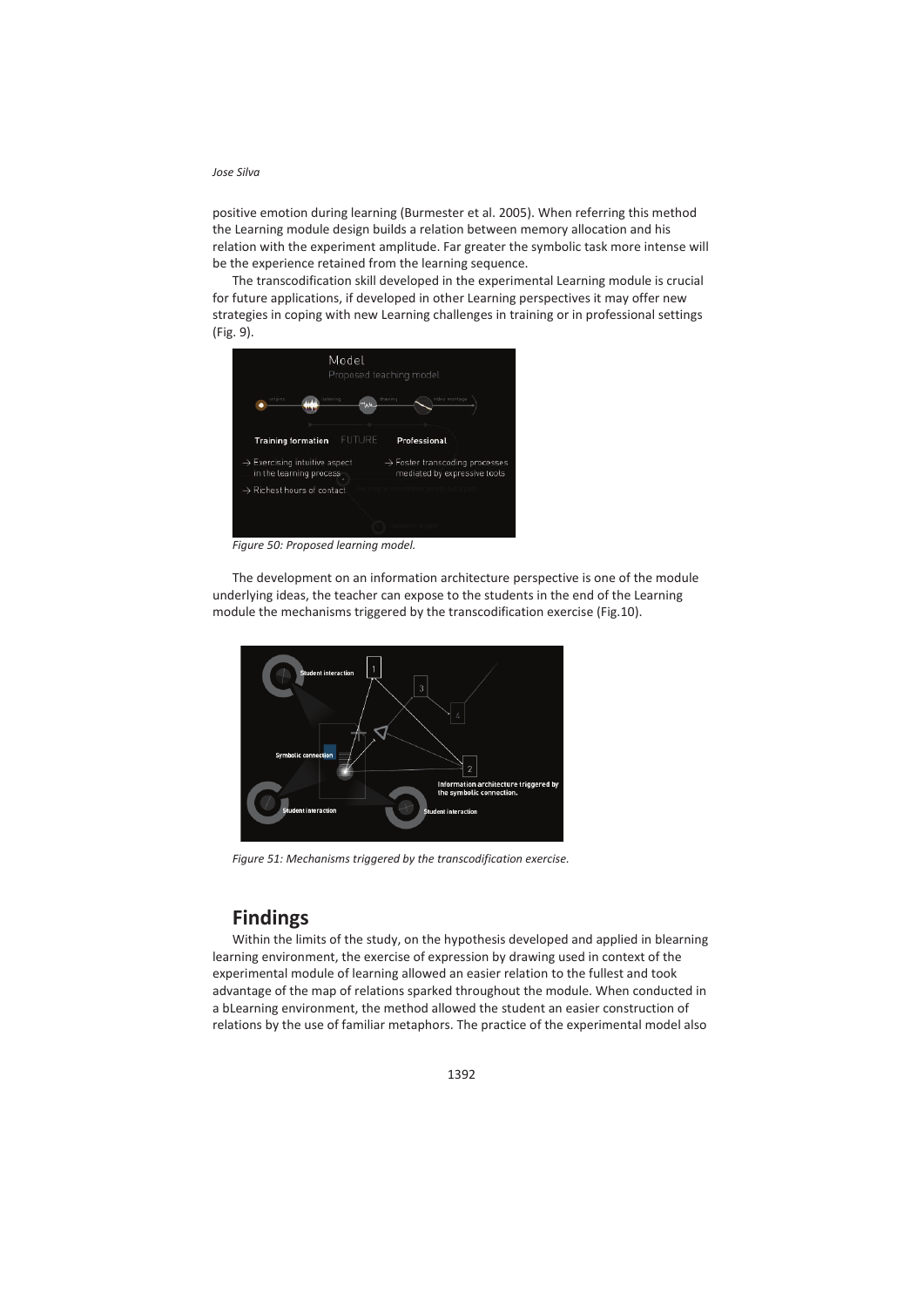#### *Jose Silva*

positive emotion during learning (Burmester et al. 2005). When referring this method the Learning module design builds a relation between memory allocation and his relation with the experiment amplitude. Far greater the symbolic task more intense will be the experience retained from the learning sequence.

The transcodification skill developed in the experimental Learning module is crucial for future applications, if developed in other Learning perspectives it may offer new strategies in coping with new Learning challenges in training or in professional settings (Fig. 9).



*Figure 50: Proposed learning model.* 

The development on an information architecture perspective is one of the module underlying ideas, the teacher can expose to the students in the end of the Learning module the mechanisms triggered by the transcodification exercise (Fig.10).



*Figure 51: Mechanisms triggered by the transcodification exercise.* 

### **Findings**

Within the limits of the study, on the hypothesis developed and applied in blearning learning environment, the exercise of expression by drawing used in context of the experimental module of learning allowed an easier relation to the fullest and took advantage of the map of relations sparked throughout the module. When conducted in a bLearning environment, the method allowed the student an easier construction of relations by the use of familiar metaphors. The practice of the experimental model also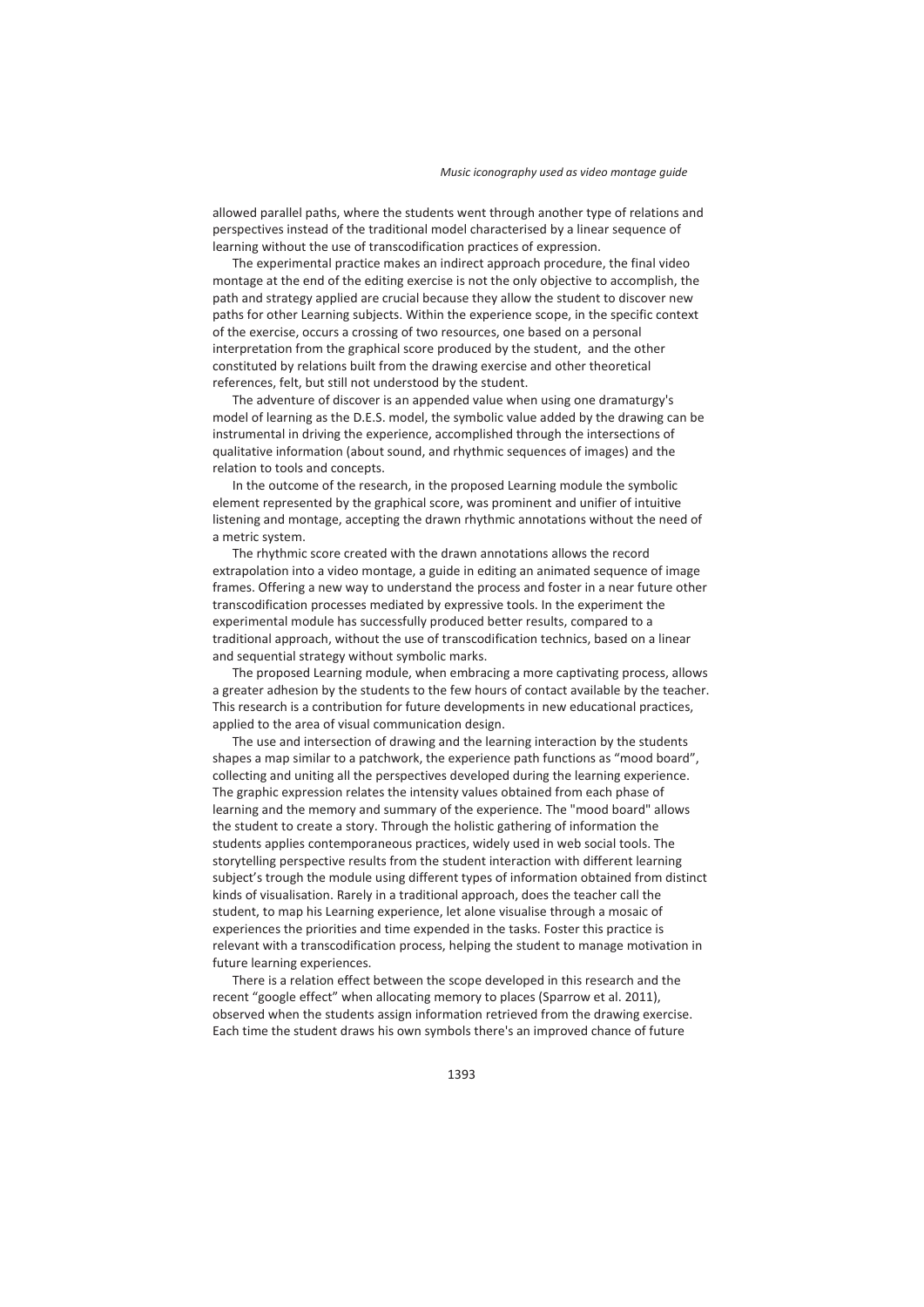allowed parallel paths, where the students went through another type of relations and perspectives instead of the traditional model characterised by a linear sequence of learning without the use of transcodification practices of expression.

The experimental practice makes an indirect approach procedure, the final video montage at the end of the editing exercise is not the only objective to accomplish, the path and strategy applied are crucial because they allow the student to discover new paths for other Learning subjects. Within the experience scope, in the specific context of the exercise, occurs a crossing of two resources, one based on a personal interpretation from the graphical score produced by the student, and the other constituted by relations built from the drawing exercise and other theoretical references, felt, but still not understood by the student.

The adventure of discover is an appended value when using one dramaturgy's model of learning as the D.E.S. model, the symbolic value added by the drawing can be instrumental in driving the experience, accomplished through the intersections of qualitative information (about sound, and rhythmic sequences of images) and the relation to tools and concepts.

In the outcome of the research, in the proposed Learning module the symbolic element represented by the graphical score, was prominent and unifier of intuitive listening and montage, accepting the drawn rhythmic annotations without the need of a metric system.

The rhythmic score created with the drawn annotations allows the record extrapolation into a video montage, a guide in editing an animated sequence of image frames. Offering a new way to understand the process and foster in a near future other transcodification processes mediated by expressive tools. In the experiment the experimental module has successfully produced better results, compared to a traditional approach, without the use of transcodification technics, based on a linear and sequential strategy without symbolic marks.

The proposed Learning module, when embracing a more captivating process, allows a greater adhesion by the students to the few hours of contact available by the teacher. This research is a contribution for future developments in new educational practices, applied to the area of visual communication design.

The use and intersection of drawing and the learning interaction by the students shapes a map similar to a patchwork, the experience path functions as "mood board", collecting and uniting all the perspectives developed during the learning experience. The graphic expression relates the intensity values obtained from each phase of learning and the memory and summary of the experience. The "mood board" allows the student to create a story. Through the holistic gathering of information the students applies contemporaneous practices, widely used in web social tools. The storytelling perspective results from the student interaction with different learning subject's trough the module using different types of information obtained from distinct kinds of visualisation. Rarely in a traditional approach, does the teacher call the student, to map his Learning experience, let alone visualise through a mosaic of experiences the priorities and time expended in the tasks. Foster this practice is relevant with a transcodification process, helping the student to manage motivation in future learning experiences.

There is a relation effect between the scope developed in this research and the recent "google effect" when allocating memory to places (Sparrow et al. 2011), observed when the students assign information retrieved from the drawing exercise. Each time the student draws his own symbols there's an improved chance of future